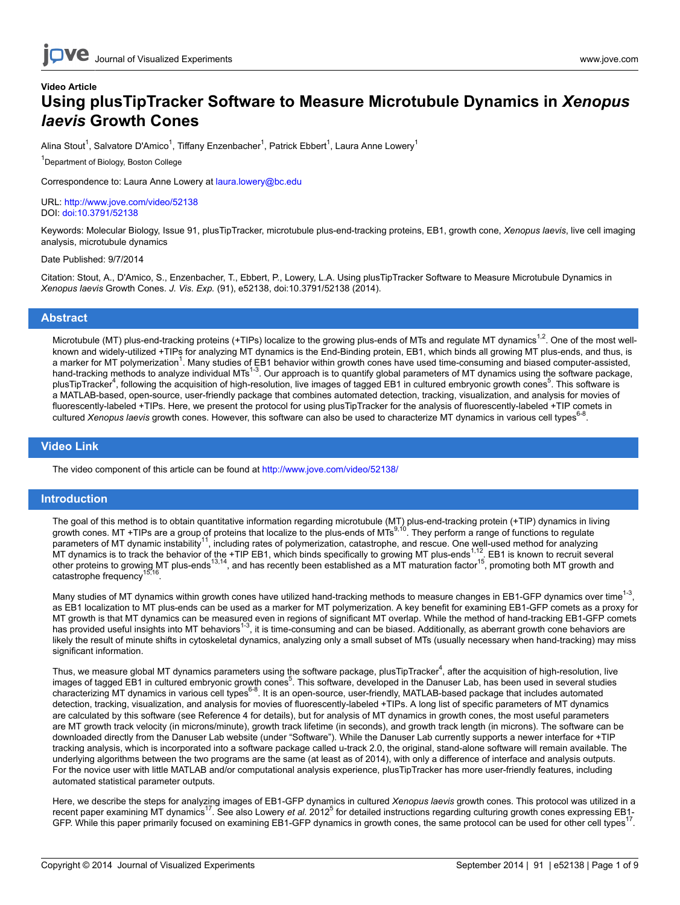# **Video Article Using plusTipTracker Software to Measure Microtubule Dynamics in** *Xenopus laevis* **Growth Cones**

Alina Stout<sup>1</sup>, Salvatore D'Amico<sup>1</sup>, Tiffany Enzenbacher<sup>1</sup>, Patrick Ebbert<sup>1</sup>, Laura Anne Lowery<sup>1</sup>

<sup>1</sup>Department of Biology, Boston College

Correspondence to: Laura Anne Lowery at [laura.lowery@bc.edu](mailto:laura.lowery@bc.edu)

URL:<http://www.jove.com/video/52138> DOI: [doi:10.3791/52138](http://dx.doi.org/10.3791/52138)

Keywords: Molecular Biology, Issue 91, plusTipTracker, microtubule plus-end-tracking proteins, EB1, growth cone, *Xenopus laevis*, live cell imaging analysis, microtubule dynamics

#### Date Published: 9/7/2014

Citation: Stout, A., D'Amico, S., Enzenbacher, T., Ebbert, P., Lowery, L.A. Using plusTipTracker Software to Measure Microtubule Dynamics in *Xenopus laevis* Growth Cones. *J. Vis. Exp.* (91), e52138, doi:10.3791/52138 (2014).

### **Abstract**

Microtubule (MT) plus-end-tracking proteins (+TIPs) localize to the growing plus-ends of MTs and regulate MT dynamics<sup>1,2</sup>. One of the most wellknown and widely-utilized +TIPs for analyzing MT dynamics is the End-Binding protein, EB1, which binds all growing MT plus-ends, and thus, is a marker for MT polymerization<sup>1</sup>. Many studies of EB1 behavior within growth cones have used time-consuming and biased computer-assisted, hand-tracking methods to analyze individual MTs<sup>1-3</sup>. Our approach is to quantify global parameters of MT dynamics using the software package, plusTipTracker<sup>4</sup>, following the acquisition of high-resolution, live images of tagged EB1 in cultured embryonic growth cones<sup>5</sup>. This software is a MATLAB-based, open-source, user-friendly package that combines automated detection, tracking, visualization, and analysis for movies of fluorescently-labeled +TIPs. Here, we present the protocol for using plusTipTracker for the analysis of fluorescently-labeled +TIP comets in cultured *Xenopus laevis* growth cones. However, this software can also be used to characterize MT dynamics in various cell types 6-8 .

## **Video Link**

The video component of this article can be found at <http://www.jove.com/video/52138/>

### **Introduction**

The goal of this method is to obtain quantitative information regarding microtubule (MT) plus-end-tracking protein (+TIP) dynamics in living growth cones. MT +TIPs are a group of proteins that localize to the plus-ends of MTs<sup>9,10</sup>. They perform a range of functions to regulate parameters of MT dynamic instability<sup>11</sup>, including rates of polymerization, catastrophe, and rescue. One well-used method for analyzing MT dynamics is to track the behavior of the +TIP EB1, which binds specifically to growing MT plus-ends<sup>1,12</sup>. EB1 is known to recruit several other proteins to growing MT plus-ends<sup>13,14</sup>, and has recently been established as a MT maturation factor<sup>15</sup>, promoting both MT growth and catastrophe frequency<sup>1</sup> .

Many studies of MT dynamics within growth cones have utilized hand-tracking methods to measure changes in EB1-GFP dynamics over time<sup>1-3</sup>, as EB1 localization to MT plus-ends can be used as a marker for MT polymerization. A key benefit for examining EB1-GFP comets as a proxy for MT growth is that MT dynamics can be measured even in regions of significant MT overlap. While the method of hand-tracking EB1-GFP comets has provided useful insights into MT behaviors<sup>1-3</sup>, it is time-consuming and can be biased. Additionally, as aberrant growth cone behaviors are likely the result of minute shifts in cytoskeletal dynamics, analyzing only a small subset of MTs (usually necessary when hand-tracking) may miss significant information.

Thus, we measure global MT dynamics parameters using the software package, plusTipTracker<sup>4</sup>, after the acquisition of high-resolution, live images of tagged EB1 in cultured embryonic growth cones<sup>5</sup>. This software, developed in the Danuser Lab, has been used in several studies<br>characterizing MT dynamics in various cell types<sup>6-8</sup>. It is an open-source, user-fr detection, tracking, visualization, and analysis for movies of fluorescently-labeled +TIPs. A long list of specific parameters of MT dynamics are calculated by this software (see Reference 4 for details), but for analysis of MT dynamics in growth cones, the most useful parameters are MT growth track velocity (in microns/minute), growth track lifetime (in seconds), and growth track length (in microns). The software can be downloaded directly from the Danuser Lab website (under "Software"). While the Danuser Lab currently supports a newer interface for +TIP tracking analysis, which is incorporated into a software package called u-track 2.0, the original, stand-alone software will remain available. The underlying algorithms between the two programs are the same (at least as of 2014), with only a difference of interface and analysis outputs. For the novice user with little MATLAB and/or computational analysis experience, plusTipTracker has more user-friendly features, including automated statistical parameter outputs.

Here, we describe the steps for analyzing images of EB1-GFP dynamics in cultured *Xenopus laevis* growth cones. This protocol was utilized in a recent paper examining MT dynamics<sup>17</sup>. See also Lowery *et al.* 2012<sup>5</sup> for detailed instructions regarding culturing growth cones expressing EB1-GFP. While this paper primarily focused on examining EB1-GFP dynamics in growth cones, the same protocol can be used for other cell types<sup>17</sup>.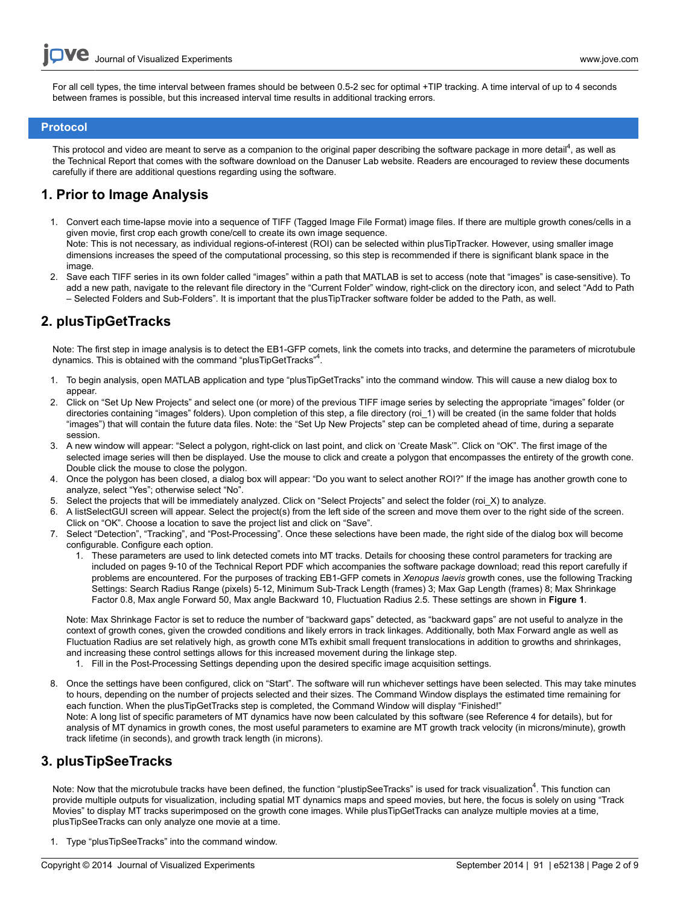For all cell types, the time interval between frames should be between 0.5-2 sec for optimal +TIP tracking. A time interval of up to 4 seconds between frames is possible, but this increased interval time results in additional tracking errors.

### **Protocol**

This protocol and video are meant to serve as a companion to the original paper describing the software package in more detail<sup>4</sup>, as well as the Technical Report that comes with the software download on the Danuser Lab website. Readers are encouraged to review these documents carefully if there are additional questions regarding using the software.

## **1. Prior to Image Analysis**

- 1. Convert each time-lapse movie into a sequence of TIFF (Tagged Image File Format) image files. If there are multiple growth cones/cells in a given movie, first crop each growth cone/cell to create its own image sequence. Note: This is not necessary, as individual regions-of-interest (ROI) can be selected within plusTipTracker. However, using smaller image dimensions increases the speed of the computational processing, so this step is recommended if there is significant blank space in the image.
- 2. Save each TIFF series in its own folder called "images" within a path that MATLAB is set to access (note that "images" is case-sensitive). To add a new path, navigate to the relevant file directory in the "Current Folder" window, right-click on the directory icon, and select "Add to Path – Selected Folders and Sub-Folders". It is important that the plusTipTracker software folder be added to the Path, as well.

# **2. plusTipGetTracks**

Note: The first step in image analysis is to detect the EB1-GFP comets, link the comets into tracks, and determine the parameters of microtubule dynamics. This is obtained with the command "plusTipGetTracks"<sup>4</sup>.

- 1. To begin analysis, open MATLAB application and type "plusTipGetTracks" into the command window. This will cause a new dialog box to appear.
- 2. Click on "Set Up New Projects" and select one (or more) of the previous TIFF image series by selecting the appropriate "images" folder (or directories containing "images" folders). Upon completion of this step, a file directory (roi 1) will be created (in the same folder that holds "images") that will contain the future data files. Note: the "Set Up New Projects" step can be completed ahead of time, during a separate session.
- 3. A new window will appear: "Select a polygon, right-click on last point, and click on 'Create Mask'". Click on "OK". The first image of the selected image series will then be displayed. Use the mouse to click and create a polygon that encompasses the entirety of the growth cone. Double click the mouse to close the polygon.
- 4. Once the polygon has been closed, a dialog box will appear: "Do you want to select another ROI?" If the image has another growth cone to analyze, select "Yes"; otherwise select "No".
- 5. Select the projects that will be immediately analyzed. Click on "Select Projects" and select the folder (roi\_X) to analyze.
- 6. A listSelectGUI screen will appear. Select the project(s) from the left side of the screen and move them over to the right side of the screen. Click on "OK". Choose a location to save the project list and click on "Save".
- 7. Select "Detection", "Tracking", and "Post-Processing". Once these selections have been made, the right side of the dialog box will become configurable. Configure each option.
	- 1. These parameters are used to link detected comets into MT tracks. Details for choosing these control parameters for tracking are included on pages 9-10 of the Technical Report PDF which accompanies the software package download; read this report carefully if problems are encountered. For the purposes of tracking EB1-GFP comets in *Xenopus laevis* growth cones, use the following Tracking Settings: Search Radius Range (pixels) 5-12, Minimum Sub-Track Length (frames) 3; Max Gap Length (frames) 8; Max Shrinkage Factor 0.8, Max angle Forward 50, Max angle Backward 10, Fluctuation Radius 2.5. These settings are shown in **Figure 1**.

Note: Max Shrinkage Factor is set to reduce the number of "backward gaps" detected, as "backward gaps" are not useful to analyze in the context of growth cones, given the crowded conditions and likely errors in track linkages. Additionally, both Max Forward angle as well as Fluctuation Radius are set relatively high, as growth cone MTs exhibit small frequent translocations in addition to growths and shrinkages, and increasing these control settings allows for this increased movement during the linkage step.

- 1. Fill in the Post-Processing Settings depending upon the desired specific image acquisition settings.
- 8. Once the settings have been configured, click on "Start". The software will run whichever settings have been selected. This may take minutes to hours, depending on the number of projects selected and their sizes. The Command Window displays the estimated time remaining for each function. When the plusTipGetTracks step is completed, the Command Window will display "Finished!" Note: A long list of specific parameters of MT dynamics have now been calculated by this software (see Reference 4 for details), but for analysis of MT dynamics in growth cones, the most useful parameters to examine are MT growth track velocity (in microns/minute), growth track lifetime (in seconds), and growth track length (in microns).

## **3. plusTipSeeTracks**

Note: Now that the microtubule tracks have been defined, the function "plustipSeeTracks" is used for track visualization<sup>4</sup>. This function can provide multiple outputs for visualization, including spatial MT dynamics maps and speed movies, but here, the focus is solely on using "Track Movies" to display MT tracks superimposed on the growth cone images. While plusTipGetTracks can analyze multiple movies at a time, plusTipSeeTracks can only analyze one movie at a time.

1. Type "plusTipSeeTracks" into the command window.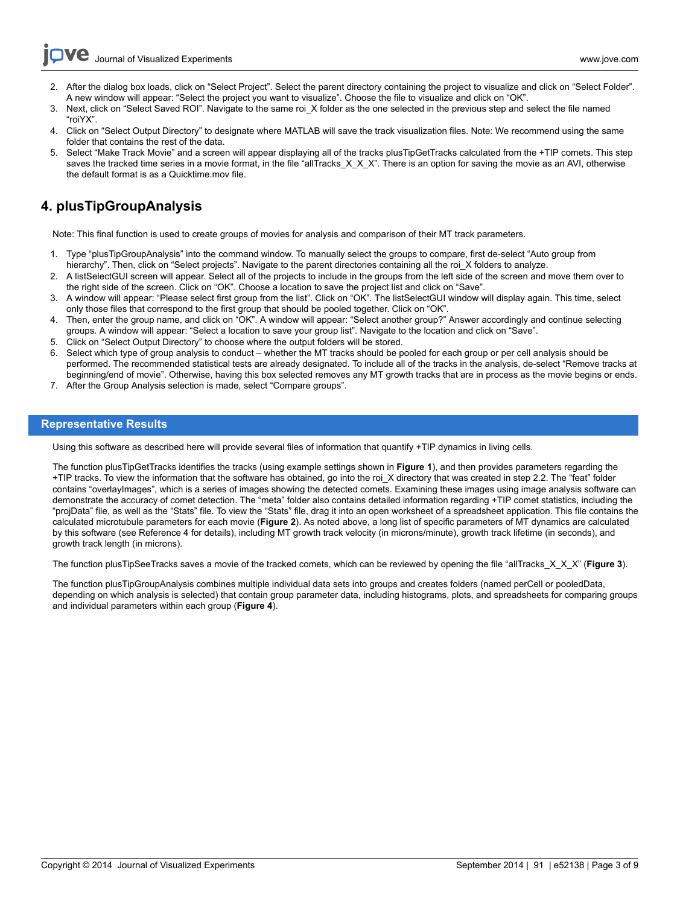- 2. After the dialog box loads, click on "Select Project". Select the parent directory containing the project to visualize and click on "Select Folder". A new window will appear: "Select the project you want to visualize". Choose the file to visualize and click on "OK".
- 3. Next, click on "Select Saved ROI". Navigate to the same roi\_X folder as the one selected in the previous step and select the file named "roiYX".
- 4. Click on "Select Output Directory" to designate where MATLAB will save the track visualization files. Note: We recommend using the same folder that contains the rest of the data.
- 5. Select "Make Track Movie" and a screen will appear displaying all of the tracks plusTipGetTracks calculated from the +TIP comets. This step saves the tracked time series in a movie format, in the file "allTracks\_X\_X\_X". There is an option for saving the movie as an AVI, otherwise the default format is as a Quicktime.mov file.

# **4. plusTipGroupAnalysis**

Note: This final function is used to create groups of movies for analysis and comparison of their MT track parameters.

- 1. Type "plusTipGroupAnalysis" into the command window. To manually select the groups to compare, first de-select "Auto group from hierarchy". Then, click on "Select projects". Navigate to the parent directories containing all the roi\_X folders to analyze.
- 2. A listSelectGUI screen will appear. Select all of the projects to include in the groups from the left side of the screen and move them over to the right side of the screen. Click on "OK". Choose a location to save the project list and click on "Save".
- 3. A window will appear: "Please select first group from the list". Click on "OK". The listSelectGUI window will display again. This time, select only those files that correspond to the first group that should be pooled together. Click on "OK".
- 4. Then, enter the group name, and click on "OK". A window will appear: "Select another group?" Answer accordingly and continue selecting groups. A window will appear: "Select a location to save your group list". Navigate to the location and click on "Save".
- 5. Click on "Select Output Directory" to choose where the output folders will be stored.
- 6. Select which type of group analysis to conduct whether the MT tracks should be pooled for each group or per cell analysis should be performed. The recommended statistical tests are already designated. To include all of the tracks in the analysis, de-select "Remove tracks at beginning/end of movie". Otherwise, having this box selected removes any MT growth tracks that are in process as the movie begins or ends.
- 7. After the Group Analysis selection is made, select "Compare groups".

## **Representative Results**

Using this software as described here will provide several files of information that quantify +TIP dynamics in living cells.

The function plusTipGetTracks identifies the tracks (using example settings shown in **Figure 1**), and then provides parameters regarding the +TIP tracks. To view the information that the software has obtained, go into the roi\_X directory that was created in step 2.2. The "feat" folder contains "overlayImages", which is a series of images showing the detected comets. Examining these images using image analysis software can demonstrate the accuracy of comet detection. The "meta" folder also contains detailed information regarding +TIP comet statistics, including the "projData" file, as well as the "Stats" file. To view the "Stats" file, drag it into an open worksheet of a spreadsheet application. This file contains the calculated microtubule parameters for each movie (**Figure 2**). As noted above, a long list of specific parameters of MT dynamics are calculated by this software (see Reference 4 for details), including MT growth track velocity (in microns/minute), growth track lifetime (in seconds), and growth track length (in microns).

The function plusTipSeeTracks saves a movie of the tracked comets, which can be reviewed by opening the file "allTracks\_X\_X\_X" (**Figure 3**).

The function plusTipGroupAnalysis combines multiple individual data sets into groups and creates folders (named perCell or pooledData, depending on which analysis is selected) that contain group parameter data, including histograms, plots, and spreadsheets for comparing groups and individual parameters within each group (**Figure 4**).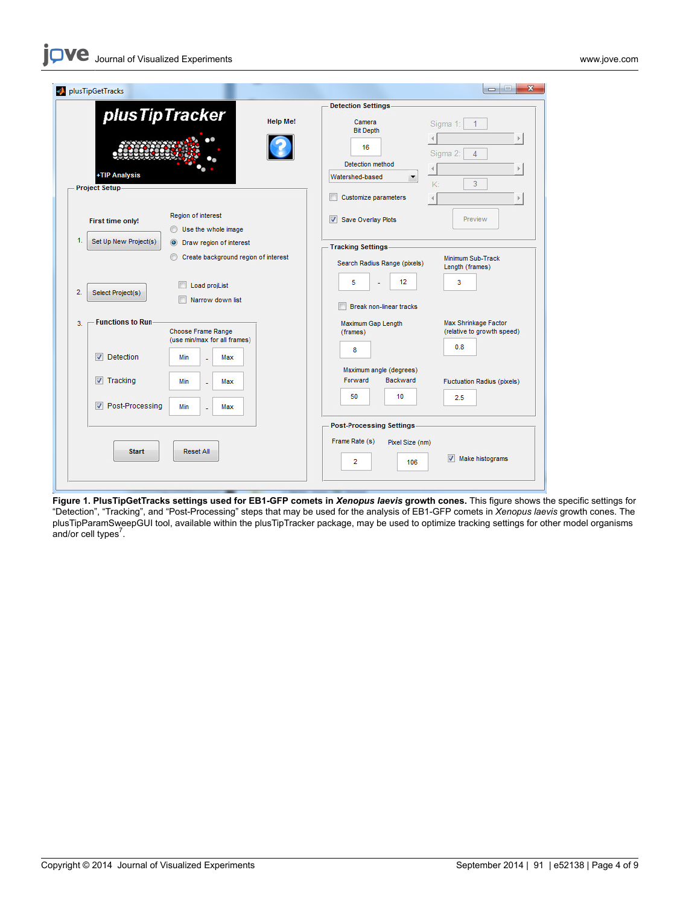|                |                          |                                                                   |                 | <b>Detection Settings</b>                                             |                                                                  |
|----------------|--------------------------|-------------------------------------------------------------------|-----------------|-----------------------------------------------------------------------|------------------------------------------------------------------|
|                | plus Tip Tracker         |                                                                   | <b>Help Me!</b> | Camera<br><b>Bit Depth</b><br>16                                      | Sigma 1:<br>Þ.<br>Sigma 2:<br>$\overline{4}$                     |
|                | +TIP Analysis            |                                                                   |                 | Detection method<br>Watershed-based<br>▼                              |                                                                  |
|                | <b>Project Setup-</b>    |                                                                   |                 | <b>Customize parameters</b>                                           | 3<br>К                                                           |
|                | First time only!         | Region of interest<br>Use the whole image                         |                 | <b>Save Overlay Plots</b><br>V                                        | <b>Preview</b>                                                   |
| 1.             | Set Up New Project(s)    | O Draw region of interest<br>Create background region of interest |                 | <b>Tracking Settings</b><br>Search Radius Range (pixels)              | Minimum Sub-Track<br>Length (frames)                             |
| $\overline{2}$ | Select Project(s)        | Load projList<br>Narrow down list                                 |                 | 12<br>5<br>Break non-linear tracks                                    | 3                                                                |
| 3.             | <b>Functions to Run</b>  | Choose Frame Range<br>(use min/max for all frames)                |                 | Maximum Gap Length<br>(frames)                                        | <b>Max Shrinkage Factor</b><br>(relative to growth speed)<br>0.8 |
|                | $\nabla$ Detection       | Min<br>Max                                                        |                 | 8<br>Maximum angle (degrees)                                          |                                                                  |
|                | $\nabla$ Tracking        | Min<br>Max                                                        |                 | Forward<br><b>Backward</b>                                            | <b>Fluctuation Radius (pixels)</b>                               |
|                | <b>D</b> Post-Processing | <b>Min</b><br>Max                                                 |                 | 50<br>10                                                              | 2.5                                                              |
|                | <b>Start</b>             | <b>Reset All</b>                                                  |                 | <b>Post-Processing Settings-</b><br>Frame Rate (s)<br>Pixel Size (nm) |                                                                  |
|                |                          |                                                                   |                 | 2<br>106                                                              | $\triangledown$ Make histograms                                  |

**Figure 1. PlusTipGetTracks settings used for EB1-GFP comets in** *Xenopus laevis* **growth cones.** This figure shows the specific settings for "Detection", "Tracking", and "Post-Processing" steps that may be used for the analysis of EB1-GFP comets in *Xenopus laevis* growth cones. The plusTipParamSweepGUI tool, available within the plusTipTracker package, may be used to optimize tracking settings for other model organisms and/or cell types<sup>7</sup>.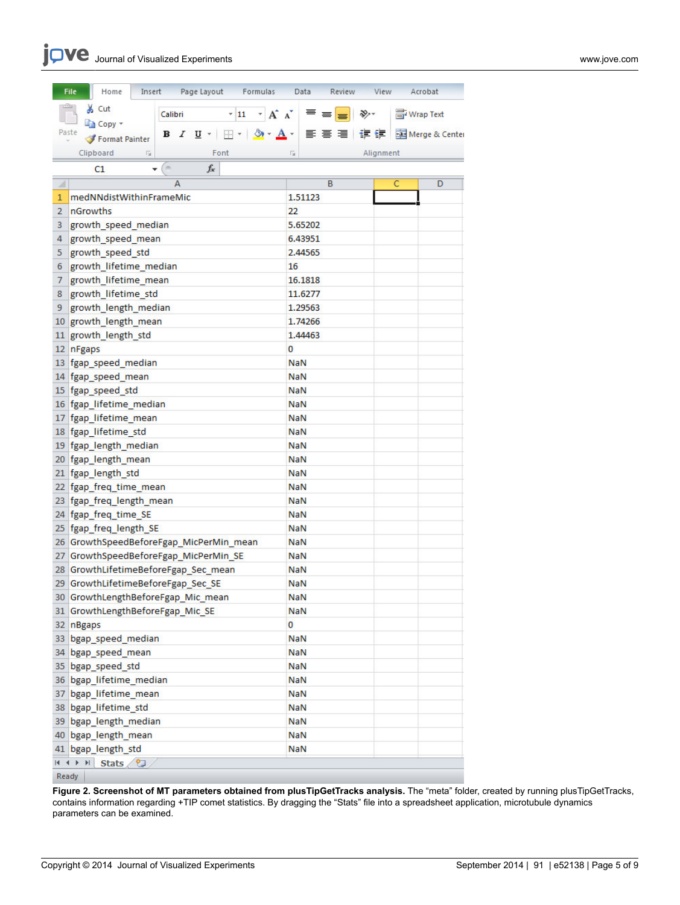| File<br>Page Layout<br>Home<br>Insert<br>Formulas                                                                                    | View<br>Acrobat<br>Data<br>Review |  |  |  |  |  |  |  |  |  |
|--------------------------------------------------------------------------------------------------------------------------------------|-----------------------------------|--|--|--|--|--|--|--|--|--|
| & Cut<br>$\overline{A} \overline{A}$<br>$-11$<br>Calibri                                                                             | ≡≡<br><b>T</b> Wrap Text<br>D) +  |  |  |  |  |  |  |  |  |  |
| la Copy +                                                                                                                            | $\equiv$                          |  |  |  |  |  |  |  |  |  |
| Paste<br>$\mathbb{H}$ $\sim$ $\mathbb{H}$<br>$\mathbf{A}$ - $\mathbf{A}$ -<br>в<br>Ι<br>$\underline{\mathbf{u}}$ -<br>Format Painter | 使相<br>Merge & Center<br>ま 書 理     |  |  |  |  |  |  |  |  |  |
| Clipboard<br>Font<br>局                                                                                                               | Alignment<br>匾                    |  |  |  |  |  |  |  |  |  |
| m<br>$f_x$<br>C1                                                                                                                     |                                   |  |  |  |  |  |  |  |  |  |
| A<br>₫                                                                                                                               | B<br>Ċ<br>D                       |  |  |  |  |  |  |  |  |  |
| medNNdistWithinFrameMic<br>1                                                                                                         | 1.51123                           |  |  |  |  |  |  |  |  |  |
| nGrowths<br>$\overline{2}$                                                                                                           | 22                                |  |  |  |  |  |  |  |  |  |
| growth_speed_median<br>3                                                                                                             | 5.65202                           |  |  |  |  |  |  |  |  |  |
| 4<br>growth speed mean                                                                                                               | 6.43951                           |  |  |  |  |  |  |  |  |  |
| growth_speed_std<br>5                                                                                                                | 2.44565                           |  |  |  |  |  |  |  |  |  |
| growth lifetime median<br>6                                                                                                          | 16                                |  |  |  |  |  |  |  |  |  |
| growth lifetime mean<br>7                                                                                                            | 16.1818                           |  |  |  |  |  |  |  |  |  |
| growth lifetime std<br>8                                                                                                             | 11.6277                           |  |  |  |  |  |  |  |  |  |
| growth_length_median<br>9                                                                                                            | 1.29563                           |  |  |  |  |  |  |  |  |  |
| 10 growth_length_mean                                                                                                                | 1.74266                           |  |  |  |  |  |  |  |  |  |
| 11 growth length_std                                                                                                                 | 1.44463                           |  |  |  |  |  |  |  |  |  |
| 12 nFgaps                                                                                                                            | 0                                 |  |  |  |  |  |  |  |  |  |
| 13<br>fgap_speed_median                                                                                                              | <b>NaN</b>                        |  |  |  |  |  |  |  |  |  |
| 14 fgap_speed_mean                                                                                                                   | <b>NaN</b>                        |  |  |  |  |  |  |  |  |  |
| 15 fgap_speed_std                                                                                                                    | <b>NaN</b>                        |  |  |  |  |  |  |  |  |  |
| 16 fgap_lifetime_median                                                                                                              | <b>NaN</b>                        |  |  |  |  |  |  |  |  |  |
| 17 fgap_lifetime_mean                                                                                                                | <b>NaN</b>                        |  |  |  |  |  |  |  |  |  |
| 18 fgap_lifetime_std                                                                                                                 | <b>NaN</b>                        |  |  |  |  |  |  |  |  |  |
| 19 fgap_length_median                                                                                                                | <b>NaN</b>                        |  |  |  |  |  |  |  |  |  |
| 20 fgap_length_mean                                                                                                                  | <b>NaN</b>                        |  |  |  |  |  |  |  |  |  |
| 21 fgap_length_std                                                                                                                   | <b>NaN</b>                        |  |  |  |  |  |  |  |  |  |
| 22 fgap_freq_time_mean                                                                                                               | <b>NaN</b>                        |  |  |  |  |  |  |  |  |  |
| 23 fgap_freq_length_mean                                                                                                             | <b>NaN</b>                        |  |  |  |  |  |  |  |  |  |
| 24 fgap_freq_time_SE                                                                                                                 | <b>NaN</b>                        |  |  |  |  |  |  |  |  |  |
| 25 fgap_freq_length_SE                                                                                                               | <b>NaN</b>                        |  |  |  |  |  |  |  |  |  |
| 26 GrowthSpeedBeforeFgap_MicPerMin_mean                                                                                              | <b>NaN</b>                        |  |  |  |  |  |  |  |  |  |
| 27 GrowthSpeedBeforeFgap_MicPerMin_SE                                                                                                | <b>NaN</b>                        |  |  |  |  |  |  |  |  |  |
| 28 GrowthLifetimeBeforeFgap_Sec_mean                                                                                                 | <b>NaN</b>                        |  |  |  |  |  |  |  |  |  |
| 29 GrowthLifetimeBeforeFgap Sec SE                                                                                                   | <b>NaN</b>                        |  |  |  |  |  |  |  |  |  |
| 30 GrowthLengthBeforeFgap_Mic_mean                                                                                                   | <b>NaN</b>                        |  |  |  |  |  |  |  |  |  |
| 31 GrowthLengthBeforeFgap_Mic_SE                                                                                                     | <b>NaN</b>                        |  |  |  |  |  |  |  |  |  |
| 32 nBgaps                                                                                                                            | 0                                 |  |  |  |  |  |  |  |  |  |
| 33 bgap_speed_median                                                                                                                 | <b>NaN</b>                        |  |  |  |  |  |  |  |  |  |
| 34 bgap_speed_mean                                                                                                                   | <b>NaN</b>                        |  |  |  |  |  |  |  |  |  |
| 35 bgap_speed_std                                                                                                                    | <b>NaN</b>                        |  |  |  |  |  |  |  |  |  |
| 36 bgap lifetime median                                                                                                              | <b>NaN</b>                        |  |  |  |  |  |  |  |  |  |
| 37 bgap_lifetime_mean                                                                                                                | <b>NaN</b>                        |  |  |  |  |  |  |  |  |  |
| 38 bgap lifetime std                                                                                                                 | <b>NaN</b>                        |  |  |  |  |  |  |  |  |  |
| 39 bgap length median                                                                                                                | <b>NaN</b>                        |  |  |  |  |  |  |  |  |  |
| 40 bgap_length_mean                                                                                                                  | <b>NaN</b>                        |  |  |  |  |  |  |  |  |  |
| 41 bgap_length_std<br>H I H Stats                                                                                                    | <b>NaN</b>                        |  |  |  |  |  |  |  |  |  |
| Ready                                                                                                                                |                                   |  |  |  |  |  |  |  |  |  |

**Figure 2. Screenshot of MT parameters obtained from plusTipGetTracks analysis.** The "meta" folder, created by running plusTipGetTracks, contains information regarding +TIP comet statistics. By dragging the "Stats" file into a spreadsheet application, microtubule dynamics parameters can be examined.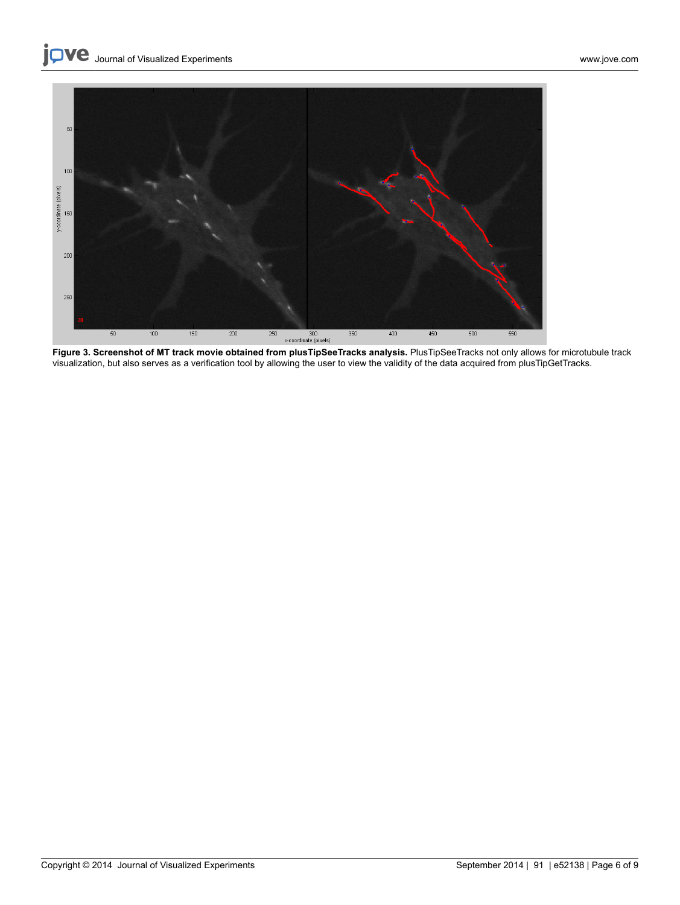

**Figure 3. Screenshot of MT track movie obtained from plusTipSeeTracks analysis.** PlusTipSeeTracks not only allows for microtubule track visualization, but also serves as a verification tool by allowing the user to view the validity of the data acquired from plusTipGetTracks.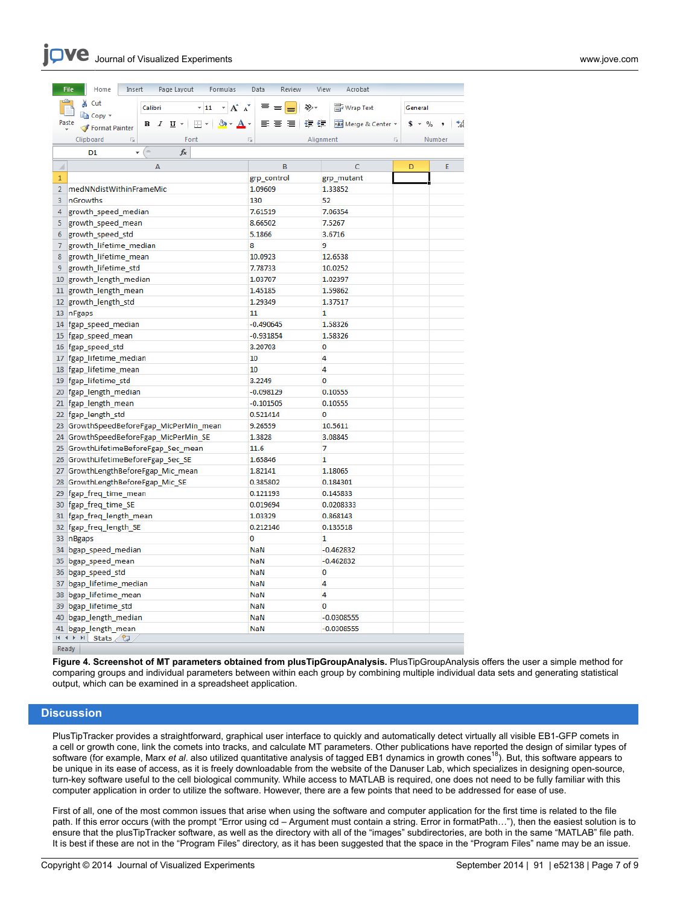| www.jove.com |  |
|--------------|--|
|              |  |

| File<br>Home<br>Insert                         | Page Layout<br>Formulas                                                                                                                          | Data<br>Review                                | View<br>Acrobat  |                   |                 |  |  |  |  |  |  |
|------------------------------------------------|--------------------------------------------------------------------------------------------------------------------------------------------------|-----------------------------------------------|------------------|-------------------|-----------------|--|--|--|--|--|--|
| ж<br>Cut<br>Calibri                            | $\tau$ 11<br>$\overline{A} \overline{A}$                                                                                                         | ≡<br>æ-                                       | <b>Wrap Text</b> | General           |                 |  |  |  |  |  |  |
| <b>Ea</b> Copy ▼                               |                                                                                                                                                  |                                               |                  |                   |                 |  |  |  |  |  |  |
| Paste<br>в<br>$\overline{I}$<br>Format Painter | $\underline{\mathtt{U}}\ \ast\  \ \boxplus\ \ast\  \ \textcolor{red}{\textcircled{\Delta}}\ \ast\ \textcolor{red}{\underline{\mathtt{A}}}\ \ast$ | 生产<br>ま 言<br>壃                                | Merge & Center * | $$ - \frac{9}{6}$ | $\ddot{c}$<br>, |  |  |  |  |  |  |
| Clipboard<br>Γý.                               | Font                                                                                                                                             | Гs.<br>Alignment<br>$\overline{\mathbb{F}_M}$ |                  | Number            |                 |  |  |  |  |  |  |
| (m<br>D <sub>1</sub><br>÷                      | $f_x$                                                                                                                                            |                                               |                  |                   |                 |  |  |  |  |  |  |
| A<br>⊿                                         |                                                                                                                                                  | R                                             | Ċ                | D                 | Ë               |  |  |  |  |  |  |
| $\mathbf{1}$                                   |                                                                                                                                                  | grp control                                   | grp mutant       |                   |                 |  |  |  |  |  |  |
| $\overline{2}$<br>medNNdistWithinFrameMic      |                                                                                                                                                  | 1.09609                                       | 1.33852          |                   |                 |  |  |  |  |  |  |
| 3<br>nGrowths                                  |                                                                                                                                                  | 130                                           | 52               |                   |                 |  |  |  |  |  |  |
| growth speed median<br>4                       |                                                                                                                                                  | 7.61519                                       | 7.06354          |                   |                 |  |  |  |  |  |  |
| growth speed mean<br>5                         |                                                                                                                                                  | 8.66502                                       | 7.5267           |                   |                 |  |  |  |  |  |  |
| growth speed std<br>6                          |                                                                                                                                                  | 5.1866<br>3.6716                              |                  |                   |                 |  |  |  |  |  |  |
| 7<br>growth lifetime median                    |                                                                                                                                                  | 8<br>9                                        |                  |                   |                 |  |  |  |  |  |  |
| 8<br>growth lifetime mean                      |                                                                                                                                                  | 10.0923<br>12.6538                            |                  |                   |                 |  |  |  |  |  |  |
| growth lifetime std<br>9                       |                                                                                                                                                  | 7.78733<br>10.0252                            |                  |                   |                 |  |  |  |  |  |  |
| 10 growth_length_median                        |                                                                                                                                                  | 1.02397<br>1.03707                            |                  |                   |                 |  |  |  |  |  |  |
| growth length mean<br>$11\,$                   |                                                                                                                                                  | 1.45185<br>1.59862                            |                  |                   |                 |  |  |  |  |  |  |
| growth length std<br>12                        |                                                                                                                                                  | 1.29349<br>1.37517                            |                  |                   |                 |  |  |  |  |  |  |
| 13 nFgaps                                      |                                                                                                                                                  | 11                                            | $\mathbf{1}$     |                   |                 |  |  |  |  |  |  |
| 14 fgap_speed_median                           |                                                                                                                                                  | $-0.490645$                                   | 1.58326          |                   |                 |  |  |  |  |  |  |
| 15 fgap_speed_mean                             |                                                                                                                                                  | $-0.931854$                                   | 1.58326          |                   |                 |  |  |  |  |  |  |
| 16 fgap speed std                              |                                                                                                                                                  | 3.20703                                       | $\mathbf 0$      |                   |                 |  |  |  |  |  |  |
| 17 fgap_lifetime_median                        |                                                                                                                                                  | 10                                            | 4                |                   |                 |  |  |  |  |  |  |
| 18 fgap_lifetime_mean                          |                                                                                                                                                  | 10                                            | 4                |                   |                 |  |  |  |  |  |  |
| 19 fgap lifetime std                           |                                                                                                                                                  | 3.2249                                        | 0                |                   |                 |  |  |  |  |  |  |
| 20 fgap_length_median                          |                                                                                                                                                  | $-0.098129$                                   | 0.10555          |                   |                 |  |  |  |  |  |  |
| 21 fgap_length_mean                            |                                                                                                                                                  | $-0.101505$                                   | 0.10555          |                   |                 |  |  |  |  |  |  |
| 22 fgap length std                             |                                                                                                                                                  | 0.521414                                      | $\overline{0}$   |                   |                 |  |  |  |  |  |  |
| 23 GrowthSpeedBeforeFgap_MicPerMin_mean        |                                                                                                                                                  | 9.26559                                       | 10.5611          |                   |                 |  |  |  |  |  |  |
| 24 GrowthSpeedBeforeFgap_MicPerMin_SE          |                                                                                                                                                  | 1.3828                                        | 3.08845          |                   |                 |  |  |  |  |  |  |
| 25 GrowthLifetimeBeforeFgap Sec mean           |                                                                                                                                                  | 11.6                                          | 7                |                   |                 |  |  |  |  |  |  |
| 26 GrowthLifetimeBeforeFgap Sec SE             |                                                                                                                                                  | 1.65846                                       | $\overline{1}$   |                   |                 |  |  |  |  |  |  |
| 27 GrowthLengthBeforeFgap_Mic_mean             |                                                                                                                                                  | 1.82141                                       | 1.18065          |                   |                 |  |  |  |  |  |  |
| 28 GrowthLengthBeforeFgap Mic SE               |                                                                                                                                                  | 0.385802                                      | 0.184301         |                   |                 |  |  |  |  |  |  |
| 29 fgap freq time mean                         |                                                                                                                                                  | 0.121193                                      | 0.145833         |                   |                 |  |  |  |  |  |  |
| 30 fgap freq time SE                           |                                                                                                                                                  | 0.019694                                      | 0.0208333        |                   |                 |  |  |  |  |  |  |
| 31 fgap_freq_length_mean                       |                                                                                                                                                  | 1.03329                                       | 0.868143         |                   |                 |  |  |  |  |  |  |
| 32 fgap_freq_length_SE                         |                                                                                                                                                  | 0.212146                                      | 0.135518         |                   |                 |  |  |  |  |  |  |
| 33 nBgaps                                      |                                                                                                                                                  | 0                                             | $\mathbf{1}$     |                   |                 |  |  |  |  |  |  |
| 34 bgap_speed_median                           |                                                                                                                                                  | <b>NaN</b>                                    | $-0.462832$      |                   |                 |  |  |  |  |  |  |
| 35 bgap_speed_mean                             |                                                                                                                                                  | <b>NaN</b>                                    | $-0.462832$      |                   |                 |  |  |  |  |  |  |
| 36 bgap speed std                              |                                                                                                                                                  | <b>NaN</b>                                    | $\overline{0}$   |                   |                 |  |  |  |  |  |  |
| 37 bgap_lifetime_median                        |                                                                                                                                                  | <b>NaN</b>                                    | 4                |                   |                 |  |  |  |  |  |  |
| 38 bgap lifetime mean                          |                                                                                                                                                  | <b>NaN</b>                                    | 4                |                   |                 |  |  |  |  |  |  |
| 39 bgap lifetime std                           |                                                                                                                                                  | <b>NaN</b>                                    | 0                |                   |                 |  |  |  |  |  |  |
| 40 bgap length median                          |                                                                                                                                                  | <b>NaN</b>                                    | $-0.0308555$     |                   |                 |  |  |  |  |  |  |
| 41 bgap length mean<br>H I H Stats             |                                                                                                                                                  | <b>NaN</b>                                    | $-0.0308555$     |                   |                 |  |  |  |  |  |  |
| Ready                                          |                                                                                                                                                  |                                               |                  |                   |                 |  |  |  |  |  |  |

**Figure 4. Screenshot of MT parameters obtained from plusTipGroupAnalysis.** PlusTipGroupAnalysis offers the user a simple method for comparing groups and individual parameters between within each group by combining multiple individual data sets and generating statistical output, which can be examined in a spreadsheet application.

## **Discussion**

PlusTipTracker provides a straightforward, graphical user interface to quickly and automatically detect virtually all visible EB1-GFP comets in a cell or growth cone, link the comets into tracks, and calculate MT parameters. Other publications have reported the design of similar types of software (for example, Marx *et al.* also utilized quantitative analysis of tagged EB1 dynamics in growth cones<sup>18</sup>). But, this software appears to be unique in its ease of access, as it is freely downloadable from the website of the Danuser Lab, which specializes in designing open-source, turn-key software useful to the cell biological community. While access to MATLAB is required, one does not need to be fully familiar with this computer application in order to utilize the software. However, there are a few points that need to be addressed for ease of use.

First of all, one of the most common issues that arise when using the software and computer application for the first time is related to the file path. If this error occurs (with the prompt "Error using cd – Argument must contain a string. Error in formatPath…"), then the easiest solution is to ensure that the plusTipTracker software, as well as the directory with all of the "images" subdirectories, are both in the same "MATLAB" file path. It is best if these are not in the "Program Files" directory, as it has been suggested that the space in the "Program Files" name may be an issue.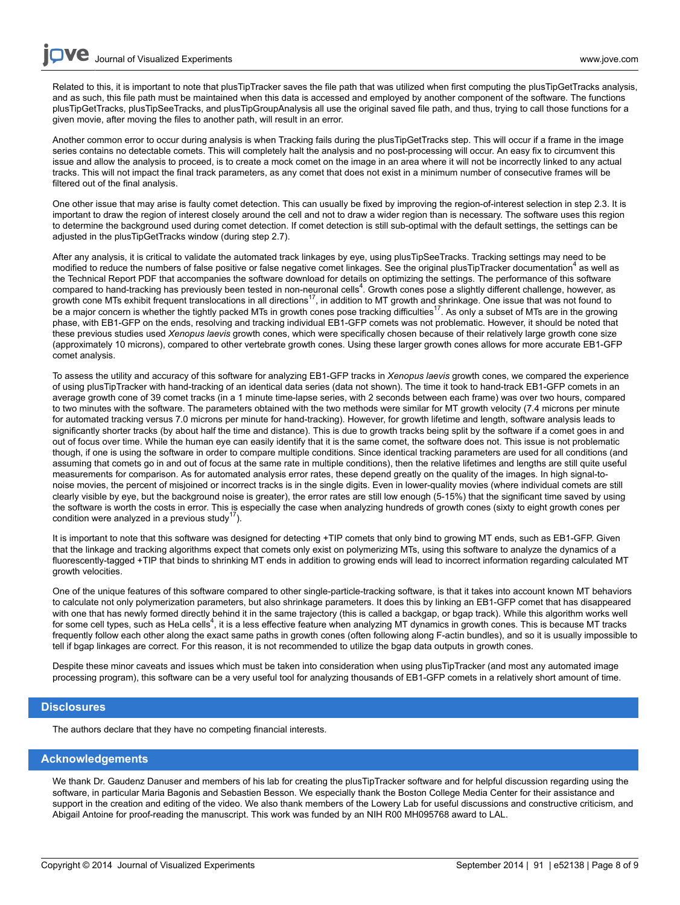Related to this, it is important to note that plusTipTracker saves the file path that was utilized when first computing the plusTipGetTracks analysis, and as such, this file path must be maintained when this data is accessed and employed by another component of the software. The functions plusTipGetTracks, plusTipSeeTracks, and plusTipGroupAnalysis all use the original saved file path, and thus, trying to call those functions for a given movie, after moving the files to another path, will result in an error.

Another common error to occur during analysis is when Tracking fails during the plusTipGetTracks step. This will occur if a frame in the image series contains no detectable comets. This will completely halt the analysis and no post-processing will occur. An easy fix to circumvent this issue and allow the analysis to proceed, is to create a mock comet on the image in an area where it will not be incorrectly linked to any actual tracks. This will not impact the final track parameters, as any comet that does not exist in a minimum number of consecutive frames will be filtered out of the final analysis.

One other issue that may arise is faulty comet detection. This can usually be fixed by improving the region-of-interest selection in step 2.3. It is important to draw the region of interest closely around the cell and not to draw a wider region than is necessary. The software uses this region to determine the background used during comet detection. If comet detection is still sub-optimal with the default settings, the settings can be adjusted in the plusTipGetTracks window (during step 2.7).

After any analysis, it is critical to validate the automated track linkages by eye, using plusTipSeeTracks. Tracking settings may need to be modified to reduce the numbers of false positive or false negative comet linkages. See the original plusTipTracker documentation<sup>4</sup> as well as the Technical Report PDF that accompanies the software download for details on optimizing the settings. The performance of this software compared to hand-tracking has previously been tested in non-neuronal cells<sup>4</sup>. Growth cones pose a slightly different challenge, however, as growth cone MTs exhibit frequent translocations in all directions<sup>17</sup>, in addition to MT growth and shrinkage. One issue that was not found to be a major concern is whether the tightly packed MTs in growth cones pose tracking difficulties<sup>17</sup>. As only a subset of MTs are in the growing phase, with EB1-GFP on the ends, resolving and tracking individual EB1-GFP comets was not problematic. However, it should be noted that these previous studies used *Xenopus laevis* growth cones, which were specifically chosen because of their relatively large growth cone size (approximately 10 microns), compared to other vertebrate growth cones. Using these larger growth cones allows for more accurate EB1-GFP comet analysis.

To assess the utility and accuracy of this software for analyzing EB1-GFP tracks in *Xenopus laevis* growth cones, we compared the experience of using plusTipTracker with hand-tracking of an identical data series (data not shown). The time it took to hand-track EB1-GFP comets in an average growth cone of 39 comet tracks (in a 1 minute time-lapse series, with 2 seconds between each frame) was over two hours, compared to two minutes with the software. The parameters obtained with the two methods were similar for MT growth velocity (7.4 microns per minute for automated tracking versus 7.0 microns per minute for hand-tracking). However, for growth lifetime and length, software analysis leads to significantly shorter tracks (by about half the time and distance). This is due to growth tracks being split by the software if a comet goes in and out of focus over time. While the human eye can easily identify that it is the same comet, the software does not. This issue is not problematic though, if one is using the software in order to compare multiple conditions. Since identical tracking parameters are used for all conditions (and assuming that comets go in and out of focus at the same rate in multiple conditions), then the relative lifetimes and lengths are still quite useful measurements for comparison. As for automated analysis error rates, these depend greatly on the quality of the images. In high signal-tonoise movies, the percent of misjoined or incorrect tracks is in the single digits. Even in lower-quality movies (where individual comets are still clearly visible by eye, but the background noise is greater), the error rates are still low enough (5-15%) that the significant time saved by using the software is worth the costs in error. This is especially the case when analyzing hundreds of growth cones (sixty to eight growth cones per condition were analyzed in a previous study<sup>1</sup>').

It is important to note that this software was designed for detecting +TIP comets that only bind to growing MT ends, such as EB1-GFP. Given that the linkage and tracking algorithms expect that comets only exist on polymerizing MTs, using this software to analyze the dynamics of a fluorescently-tagged +TIP that binds to shrinking MT ends in addition to growing ends will lead to incorrect information regarding calculated MT growth velocities.

One of the unique features of this software compared to other single-particle-tracking software, is that it takes into account known MT behaviors to calculate not only polymerization parameters, but also shrinkage parameters. It does this by linking an EB1-GFP comet that has disappeared with one that has newly formed directly behind it in the same trajectory (this is called a backgap, or bgap track). While this algorithm works well for some cell types, such as HeLa cells<sup>4</sup>, it is a less effective feature when analyzing MT dynamics in growth cones. This is because MT tracks frequently follow each other along the exact same paths in growth cones (often following along F-actin bundles), and so it is usually impossible to tell if bgap linkages are correct. For this reason, it is not recommended to utilize the bgap data outputs in growth cones.

Despite these minor caveats and issues which must be taken into consideration when using plusTipTracker (and most any automated image processing program), this software can be a very useful tool for analyzing thousands of EB1-GFP comets in a relatively short amount of time.

### **Disclosures**

The authors declare that they have no competing financial interests.

### **Acknowledgements**

We thank Dr. Gaudenz Danuser and members of his lab for creating the plusTipTracker software and for helpful discussion regarding using the software, in particular Maria Bagonis and Sebastien Besson. We especially thank the Boston College Media Center for their assistance and support in the creation and editing of the video. We also thank members of the Lowery Lab for useful discussions and constructive criticism, and Abigail Antoine for proof-reading the manuscript. This work was funded by an NIH R00 MH095768 award to LAL.